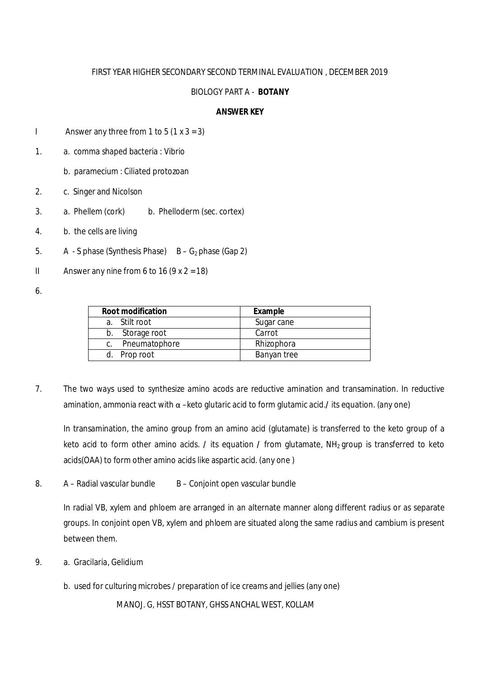## FIRST YEAR HIGHER SECONDARY SECOND TERMINAL EVALUATION , DECEMBER 2019

## BIOLOGY PART A - **BOTANY**

# **ANSWER KEY**

- I Answer any three from 1 to 5  $(1 \times 3 = 3)$
- 1. a. comma shaped bacteria : Vibrio
	- b. paramecium : Ciliated protozoan
- 2. c. Singer and Nicolson
- 3. a. Phellem (cork) b. Phelloderm (sec. cortex)
- 4. b. the cells are living
- 5. A S phase (Synthesis Phase)  $B G<sub>2</sub>$  phase (Gap 2)
- II Answer any nine from 6 to 16  $(9 \times 2 = 18)$
- 6.

| <b>Root modification</b> | Example     |
|--------------------------|-------------|
| a. Stilt root            | Sugar cane  |
| b. Storage root          | Carrot      |
| c. Pneumatophore         | Rhizophora  |
| d. Prop root             | Banyan tree |

7. The two ways used to synthesize amino acods are reductive amination and transamination. In reductive amination, ammonia react with α –keto glutaric acid to form glutamic acid.**/** its equation. (any one)

In transamination, the amino group from an amino acid (glutamate) is transferred to the keto group of a keto acid to form other amino acids. **/** its equation **/** from glutamate, NH<sub>2</sub> group is transferred to keto acids(OAA) to form other amino acids like aspartic acid. (any one )

8. A – Radial vascular bundle B – Conjoint open vascular bundle

In radial VB, xylem and phloem are arranged in an alternate manner along different radius or as separate groups. In conjoint open VB, xylem and phloem are situated along the same radius and cambium is present between them.

- 9. a. Gracilaria, Gelidium
	- b. used for culturing microbes / preparation of ice creams and jellies (any one)

MANOJ. G, HSST BOTANY, GHSS ANCHAL WEST, KOLLAM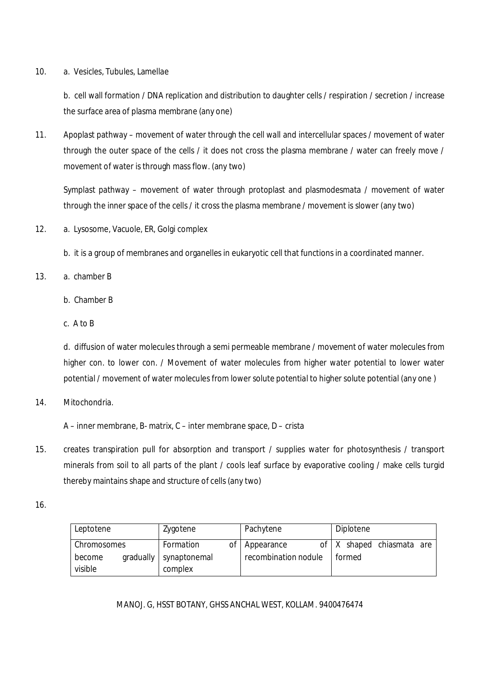## 10. a. Vesicles, Tubules, Lamellae

b. cell wall formation / DNA replication and distribution to daughter cells / respiration / secretion / increase the surface area of plasma membrane (any one)

11. Apoplast pathway – movement of water through the cell wall and intercellular spaces / movement of water through the outer space of the cells / it does not cross the plasma membrane / water can freely move / movement of water is through mass flow. (any two)

Symplast pathway – movement of water through protoplast and plasmodesmata / movement of water through the inner space of the cells / it cross the plasma membrane / movement is slower (any two)

- 12. a. Lysosome, Vacuole, ER, Golgi complex
	- b. it is a group of membranes and organelles in eukaryotic cell that functions in a coordinated manner.
- 13. a. chamber B
	- b. Chamber B
	- c. A to B

d. diffusion of water molecules through a semi permeable membrane / movement of water molecules from higher con. to lower con. / Movement of water molecules from higher water potential to lower water potential / movement of water molecules from lower solute potential to higher solute potential (any one )

14. Mitochondria.

A – inner membrane, B- matrix, C – inter membrane space, D – crista

- 15. creates transpiration pull for absorption and transport / supplies water for photosynthesis / transport minerals from soil to all parts of the plant / cools leaf surface by evaporative cooling / make cells turgid thereby maintains shape and structure of cells (any two)
- 16.

| Leptotene         |           | Zygotene                |    | Pachytene            |  | Diplotene |                             |  |
|-------------------|-----------|-------------------------|----|----------------------|--|-----------|-----------------------------|--|
| Chromosomes       |           | Formation               | ΟŤ | Appearance           |  |           | of   X shaped chiasmata are |  |
| become<br>visible | gradually | synaptonemal<br>complex |    | recombination nodule |  | formed    |                             |  |

MANOJ. G, HSST BOTANY, GHSS ANCHAL WEST, KOLLAM. 9400476474